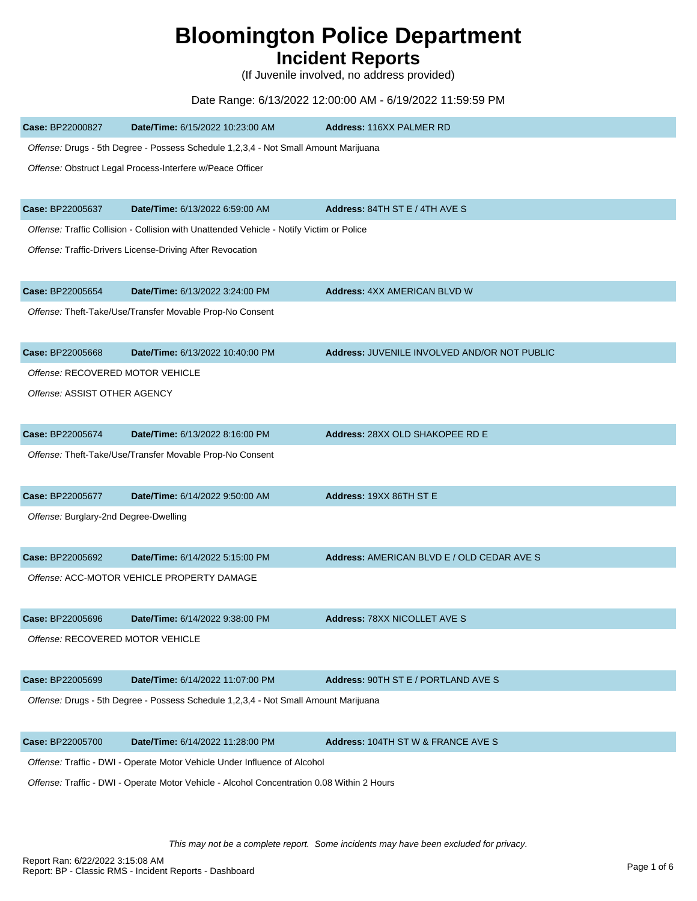# **Bloomington Police Department**

# **Incident Reports**

(If Juvenile involved, no address provided)

## Date Range: 6/13/2022 12:00:00 AM - 6/19/2022 11:59:59 PM

| Case: BP22000827                                                                           | Date/Time: 6/15/2022 10:23:00 AM                                                         | <b>Address: 116XX PALMER RD</b>              |  |
|--------------------------------------------------------------------------------------------|------------------------------------------------------------------------------------------|----------------------------------------------|--|
|                                                                                            | Offense: Drugs - 5th Degree - Possess Schedule 1,2,3,4 - Not Small Amount Marijuana      |                                              |  |
|                                                                                            | Offense: Obstruct Legal Process-Interfere w/Peace Officer                                |                                              |  |
| Case: BP22005637                                                                           | Date/Time: 6/13/2022 6:59:00 AM                                                          | <b>Address: 84TH ST E / 4TH AVE S</b>        |  |
|                                                                                            | Offense: Traffic Collision - Collision with Unattended Vehicle - Notify Victim or Police |                                              |  |
|                                                                                            | Offense: Traffic-Drivers License-Driving After Revocation                                |                                              |  |
| Case: BP22005654                                                                           | Date/Time: 6/13/2022 3:24:00 PM                                                          | <b>Address: 4XX AMERICAN BLVD W</b>          |  |
|                                                                                            | Offense: Theft-Take/Use/Transfer Movable Prop-No Consent                                 |                                              |  |
| Case: BP22005668                                                                           | Date/Time: 6/13/2022 10:40:00 PM                                                         | Address: JUVENILE INVOLVED AND/OR NOT PUBLIC |  |
| Offense: RECOVERED MOTOR VEHICLE                                                           |                                                                                          |                                              |  |
| Offense: ASSIST OTHER AGENCY                                                               |                                                                                          |                                              |  |
| Case: BP22005674                                                                           | Date/Time: 6/13/2022 8:16:00 PM                                                          | Address: 28XX OLD SHAKOPEE RD E              |  |
|                                                                                            | Offense: Theft-Take/Use/Transfer Movable Prop-No Consent                                 |                                              |  |
| Case: BP22005677                                                                           | Date/Time: 6/14/2022 9:50:00 AM                                                          | Address: 19XX 86TH ST E                      |  |
| Offense: Burglary-2nd Degree-Dwelling                                                      |                                                                                          |                                              |  |
| Case: BP22005692                                                                           | Date/Time: 6/14/2022 5:15:00 PM                                                          | Address: AMERICAN BLVD E / OLD CEDAR AVE S   |  |
|                                                                                            | Offense: ACC-MOTOR VEHICLE PROPERTY DAMAGE                                               |                                              |  |
| Case: BP22005696                                                                           | Date/Time: 6/14/2022 9:38:00 PM                                                          | <b>Address: 78XX NICOLLET AVE S</b>          |  |
| Offense: RECOVERED MOTOR VEHICLE                                                           |                                                                                          |                                              |  |
| Case: BP22005699                                                                           | Date/Time: 6/14/2022 11:07:00 PM                                                         | Address: 90TH ST E / PORTLAND AVE S          |  |
|                                                                                            | Offense: Drugs - 5th Degree - Possess Schedule 1,2,3,4 - Not Small Amount Marijuana      |                                              |  |
| Case: BP22005700                                                                           | Date/Time: 6/14/2022 11:28:00 PM                                                         | Address: 104TH ST W & FRANCE AVE S           |  |
|                                                                                            | Offense: Traffic - DWI - Operate Motor Vehicle Under Influence of Alcohol                |                                              |  |
| Offense: Traffic - DWI - Operate Motor Vehicle - Alcohol Concentration 0.08 Within 2 Hours |                                                                                          |                                              |  |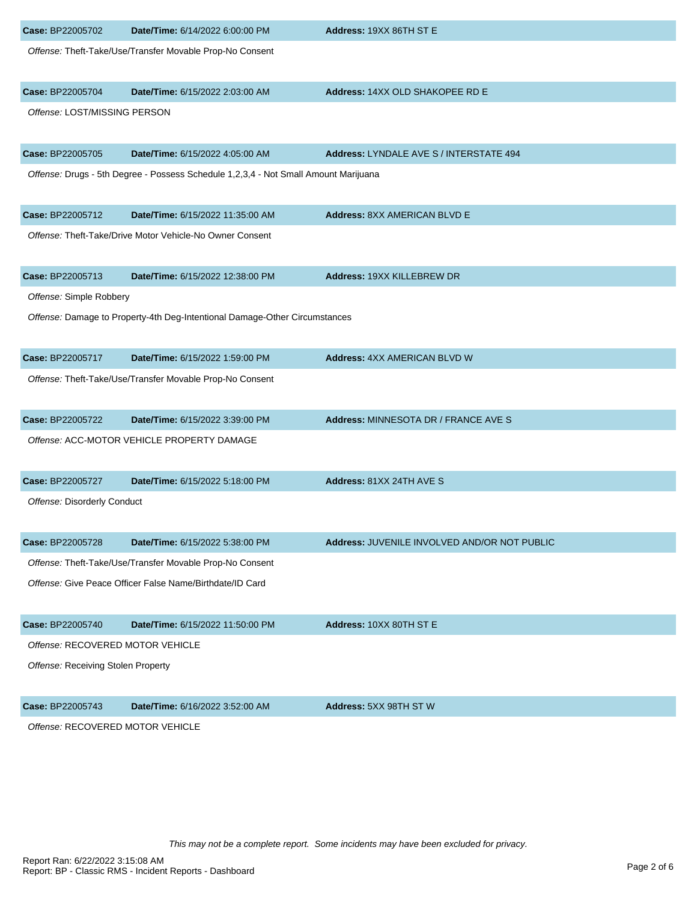| Case: BP22005702                   | Date/Time: 6/14/2022 6:00:00 PM                                                     | Address: 19XX 86TH ST E                      |
|------------------------------------|-------------------------------------------------------------------------------------|----------------------------------------------|
|                                    | Offense: Theft-Take/Use/Transfer Movable Prop-No Consent                            |                                              |
| Case: BP22005704                   | Date/Time: 6/15/2022 2:03:00 AM                                                     | Address: 14XX OLD SHAKOPEE RD E              |
| Offense: LOST/MISSING PERSON       |                                                                                     |                                              |
| Case: BP22005705                   | Date/Time: 6/15/2022 4:05:00 AM                                                     | Address: LYNDALE AVE S / INTERSTATE 494      |
|                                    | Offense: Drugs - 5th Degree - Possess Schedule 1,2,3,4 - Not Small Amount Marijuana |                                              |
| Case: BP22005712                   | Date/Time: 6/15/2022 11:35:00 AM                                                    | <b>Address: 8XX AMERICAN BLVD E</b>          |
|                                    | Offense: Theft-Take/Drive Motor Vehicle-No Owner Consent                            |                                              |
| Case: BP22005713                   | Date/Time: 6/15/2022 12:38:00 PM                                                    | Address: 19XX KILLEBREW DR                   |
| Offense: Simple Robbery            |                                                                                     |                                              |
|                                    | Offense: Damage to Property-4th Deg-Intentional Damage-Other Circumstances          |                                              |
| Case: BP22005717                   | Date/Time: 6/15/2022 1:59:00 PM                                                     | <b>Address: 4XX AMERICAN BLVD W</b>          |
|                                    | Offense: Theft-Take/Use/Transfer Movable Prop-No Consent                            |                                              |
| Case: BP22005722                   | Date/Time: 6/15/2022 3:39:00 PM                                                     | Address: MINNESOTA DR / FRANCE AVE S         |
|                                    | Offense: ACC-MOTOR VEHICLE PROPERTY DAMAGE                                          |                                              |
| Case: BP22005727                   | Date/Time: 6/15/2022 5:18:00 PM                                                     | Address: 81XX 24TH AVE S                     |
| Offense: Disorderly Conduct        |                                                                                     |                                              |
| Case: BP22005728                   | Date/Time: 6/15/2022 5:38:00 PM                                                     | Address: JUVENILE INVOLVED AND/OR NOT PUBLIC |
|                                    | Offense: Theft-Take/Use/Transfer Movable Prop-No Consent                            |                                              |
|                                    | Offense: Give Peace Officer False Name/Birthdate/ID Card                            |                                              |
| Case: BP22005740                   | Date/Time: 6/15/2022 11:50:00 PM                                                    | Address: 10XX 80TH ST E                      |
| Offense: RECOVERED MOTOR VEHICLE   |                                                                                     |                                              |
| Offense: Receiving Stolen Property |                                                                                     |                                              |
| Case: BP22005743                   | Date/Time: 6/16/2022 3:52:00 AM                                                     | Address: 5XX 98TH ST W                       |
| Offense: RECOVERED MOTOR VEHICLE   |                                                                                     |                                              |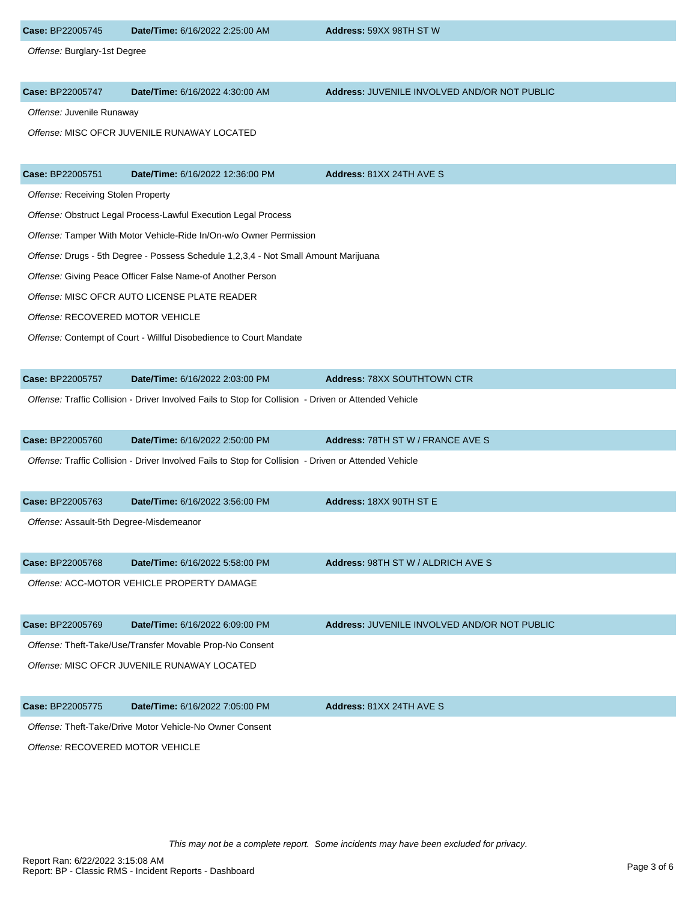| Case: BP22005745                            | Date/Time: 6/16/2022 2:25:00 AM                                                                       | Address: 59XX 98TH ST W                      |  |
|---------------------------------------------|-------------------------------------------------------------------------------------------------------|----------------------------------------------|--|
| Offense: Burglary-1st Degree                |                                                                                                       |                                              |  |
|                                             |                                                                                                       |                                              |  |
| Case: BP22005747                            | Date/Time: 6/16/2022 4:30:00 AM                                                                       | Address: JUVENILE INVOLVED AND/OR NOT PUBLIC |  |
| Offense: Juvenile Runaway                   |                                                                                                       |                                              |  |
|                                             | Offense: MISC OFCR JUVENILE RUNAWAY LOCATED                                                           |                                              |  |
|                                             |                                                                                                       |                                              |  |
| Case: BP22005751                            | Date/Time: 6/16/2022 12:36:00 PM                                                                      | Address: 81XX 24TH AVE S                     |  |
| Offense: Receiving Stolen Property          |                                                                                                       |                                              |  |
|                                             | Offense: Obstruct Legal Process-Lawful Execution Legal Process                                        |                                              |  |
|                                             | Offense: Tamper With Motor Vehicle-Ride In/On-w/o Owner Permission                                    |                                              |  |
|                                             | Offense: Drugs - 5th Degree - Possess Schedule 1,2,3,4 - Not Small Amount Marijuana                   |                                              |  |
|                                             | Offense: Giving Peace Officer False Name-of Another Person                                            |                                              |  |
|                                             | Offense: MISC OFCR AUTO LICENSE PLATE READER                                                          |                                              |  |
| Offense: RECOVERED MOTOR VEHICLE            |                                                                                                       |                                              |  |
|                                             | Offense: Contempt of Court - Willful Disobedience to Court Mandate                                    |                                              |  |
|                                             |                                                                                                       |                                              |  |
| Case: BP22005757                            | Date/Time: 6/16/2022 2:03:00 PM                                                                       | <b>Address: 78XX SOUTHTOWN CTR</b>           |  |
|                                             | Offense: Traffic Collision - Driver Involved Fails to Stop for Collision - Driven or Attended Vehicle |                                              |  |
|                                             |                                                                                                       |                                              |  |
| Case: BP22005760                            | Date/Time: 6/16/2022 2:50:00 PM                                                                       | Address: 78TH ST W / FRANCE AVE S            |  |
|                                             | Offense: Traffic Collision - Driver Involved Fails to Stop for Collision - Driven or Attended Vehicle |                                              |  |
|                                             |                                                                                                       |                                              |  |
| Case: BP22005763                            | Date/Time: 6/16/2022 3:56:00 PM                                                                       | Address: 18XX 90TH ST E                      |  |
| Offense: Assault-5th Degree-Misdemeanor     |                                                                                                       |                                              |  |
|                                             |                                                                                                       |                                              |  |
| Case: BP22005768                            | Date/Time: 6/16/2022 5:58:00 PM                                                                       | <b>Address: 98TH ST W / ALDRICH AVE S</b>    |  |
|                                             | Offense: ACC-MOTOR VEHICLE PROPERTY DAMAGE                                                            |                                              |  |
|                                             |                                                                                                       |                                              |  |
| Case: BP22005769                            | Date/Time: 6/16/2022 6:09:00 PM                                                                       | Address: JUVENILE INVOLVED AND/OR NOT PUBLIC |  |
|                                             | Offense: Theft-Take/Use/Transfer Movable Prop-No Consent                                              |                                              |  |
| Offense: MISC OFCR JUVENILE RUNAWAY LOCATED |                                                                                                       |                                              |  |
|                                             |                                                                                                       |                                              |  |
| Case: BP22005775                            | Date/Time: 6/16/2022 7:05:00 PM                                                                       | Address: 81XX 24TH AVE S                     |  |
|                                             | Offense: Theft-Take/Drive Motor Vehicle-No Owner Consent                                              |                                              |  |
| Offense: RECOVERED MOTOR VEHICLE            |                                                                                                       |                                              |  |
|                                             |                                                                                                       |                                              |  |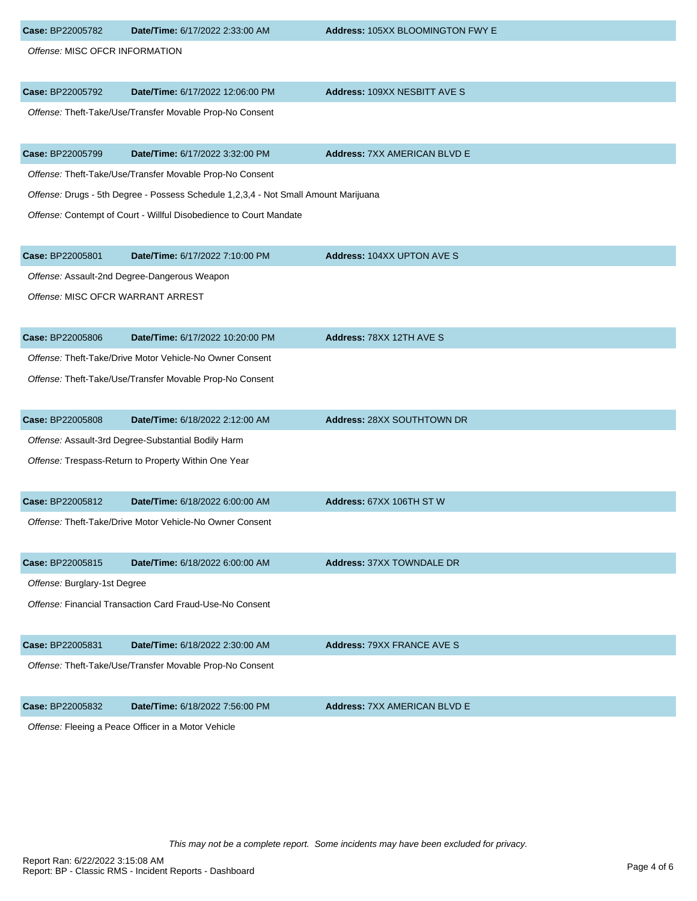| Case: BP22005782                  | Date/Time: 6/17/2022 2:33:00 AM                                                     | Address: 105XX BLOOMINGTON FWY E    |  |
|-----------------------------------|-------------------------------------------------------------------------------------|-------------------------------------|--|
| Offense: MISC OFCR INFORMATION    |                                                                                     |                                     |  |
| Case: BP22005792                  | Date/Time: 6/17/2022 12:06:00 PM                                                    | Address: 109XX NESBITT AVE S        |  |
|                                   | Offense: Theft-Take/Use/Transfer Movable Prop-No Consent                            |                                     |  |
| Case: BP22005799                  | Date/Time: 6/17/2022 3:32:00 PM                                                     | <b>Address: 7XX AMERICAN BLVD E</b> |  |
|                                   | Offense: Theft-Take/Use/Transfer Movable Prop-No Consent                            |                                     |  |
|                                   | Offense: Drugs - 5th Degree - Possess Schedule 1,2,3,4 - Not Small Amount Marijuana |                                     |  |
|                                   | Offense: Contempt of Court - Willful Disobedience to Court Mandate                  |                                     |  |
| Case: BP22005801                  | Date/Time: 6/17/2022 7:10:00 PM                                                     | <b>Address: 104XX UPTON AVE S</b>   |  |
|                                   | Offense: Assault-2nd Degree-Dangerous Weapon                                        |                                     |  |
| Offense: MISC OFCR WARRANT ARREST |                                                                                     |                                     |  |
| Case: BP22005806                  | Date/Time: 6/17/2022 10:20:00 PM                                                    | Address: 78XX 12TH AVE S            |  |
|                                   | Offense: Theft-Take/Drive Motor Vehicle-No Owner Consent                            |                                     |  |
|                                   | Offense: Theft-Take/Use/Transfer Movable Prop-No Consent                            |                                     |  |
| Case: BP22005808                  | Date/Time: 6/18/2022 2:12:00 AM                                                     | Address: 28XX SOUTHTOWN DR          |  |
|                                   | Offense: Assault-3rd Degree-Substantial Bodily Harm                                 |                                     |  |
|                                   | Offense: Trespass-Return to Property Within One Year                                |                                     |  |
| Case: BP22005812                  | Date/Time: 6/18/2022 6:00:00 AM                                                     | Address: 67XX 106TH ST W            |  |
|                                   | Offense: Theft-Take/Drive Motor Vehicle-No Owner Consent                            |                                     |  |
| Case: BP22005815                  | Date/Time: 6/18/2022 6:00:00 AM                                                     | <b>Address: 37XX TOWNDALE DR</b>    |  |
| Offense: Burglary-1st Degree      |                                                                                     |                                     |  |
|                                   | Offense: Financial Transaction Card Fraud-Use-No Consent                            |                                     |  |
| Case: BP22005831                  | Date/Time: 6/18/2022 2:30:00 AM                                                     | <b>Address: 79XX FRANCE AVE S</b>   |  |
|                                   | Offense: Theft-Take/Use/Transfer Movable Prop-No Consent                            |                                     |  |
| Case: BP22005832                  | Date/Time: 6/18/2022 7:56:00 PM                                                     | <b>Address: 7XX AMERICAN BLVD E</b> |  |
|                                   | Offense: Fleeing a Peace Officer in a Motor Vehicle                                 |                                     |  |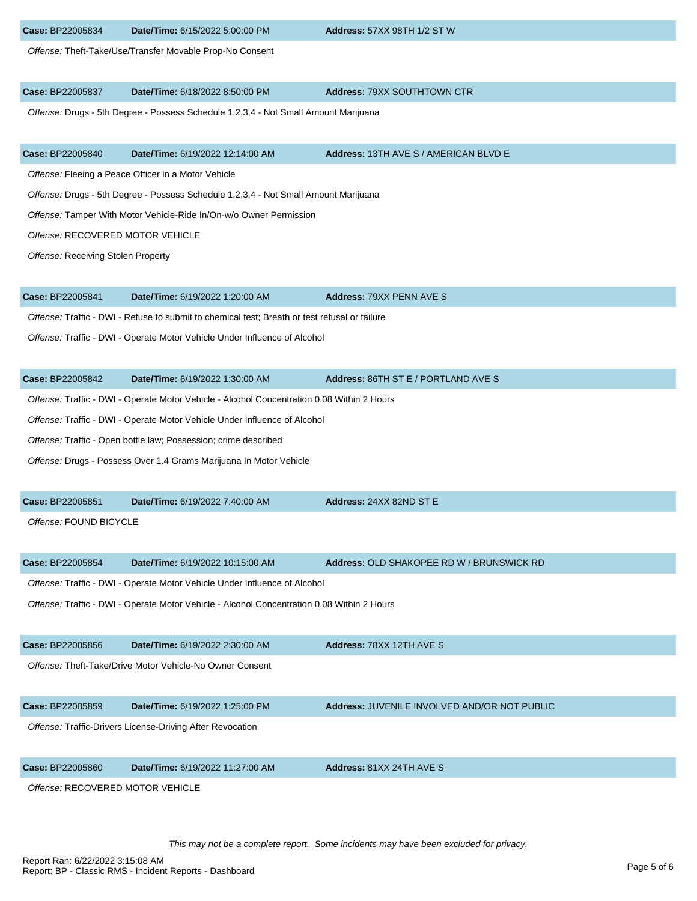Offense: Theft-Take/Use/Transfer Movable Prop-No Consent

### **Case:** BP22005837 **Date/Time:** 6/18/2022 8:50:00 PM **Address:** 79XX SOUTHTOWN CTR

Offense: Drugs - 5th Degree - Possess Schedule 1,2,3,4 - Not Small Amount Marijuana

#### **Case:** BP22005840 **Date/Time:** 6/19/2022 12:14:00 AM **Address:** 13TH AVE S / AMERICAN BLVD E

Offense: Fleeing a Peace Officer in a Motor Vehicle

Offense: Drugs - 5th Degree - Possess Schedule 1,2,3,4 - Not Small Amount Marijuana

Offense: Tamper With Motor Vehicle-Ride In/On-w/o Owner Permission

Offense: RECOVERED MOTOR VEHICLE

Offense: Receiving Stolen Property

| <b>Address: 79XX PENN AVE S</b><br>Date/Time: 6/19/2022 1:20:00 AM<br>Case: BP22005841 |  |
|----------------------------------------------------------------------------------------|--|
|----------------------------------------------------------------------------------------|--|

Offense: Traffic - DWI - Refuse to submit to chemical test; Breath or test refusal or failure

Offense: Traffic - DWI - Operate Motor Vehicle Under Influence of Alcohol

| Case: BP22005842 | Date/Time: 6/19/2022 1:30:00 AM | <b>Address: 86TH ST E / PORTLAND AVE S</b> |  |
|------------------|---------------------------------|--------------------------------------------|--|
|------------------|---------------------------------|--------------------------------------------|--|

Offense: Traffic - DWI - Operate Motor Vehicle - Alcohol Concentration 0.08 Within 2 Hours

Offense: Traffic - DWI - Operate Motor Vehicle Under Influence of Alcohol

Offense: Traffic - Open bottle law; Possession; crime described

Offense: Drugs - Possess Over 1.4 Grams Marijuana In Motor Vehicle

| <b>Case: BP22005851</b> | Date/Time: 6/19/2022 7:40:00 AM | Address: |
|-------------------------|---------------------------------|----------|
|-------------------------|---------------------------------|----------|

Offense: FOUND BICYCLE

**Case:** BP22005854 **Date/Time:** 6/19/2022 10:15:00 AM **Address:** OLD SHAKOPEE RD W / BRUNSWICK RD

**Case:** BP22005851 **Date/Time:** 6/19/2022 7:40:00 AM **Address:** 24XX 82ND ST E

Offense: Traffic - DWI - Operate Motor Vehicle Under Influence of Alcohol

Offense: Traffic - DWI - Operate Motor Vehicle - Alcohol Concentration 0.08 Within 2 Hours

|--|

Offense: Theft-Take/Drive Motor Vehicle-No Owner Consent

#### **Case:** BP22005859 **Date/Time:** 6/19/2022 1:25:00 PM **Address:** JUVENILE INVOLVED AND/OR NOT PUBLIC

Offense: Traffic-Drivers License-Driving After Revocation

**Case:** BP22005860 **Date/Time:** 6/19/2022 11:27:00 AM **Address:** 81XX 24TH AVE S

Offense: RECOVERED MOTOR VEHICLE